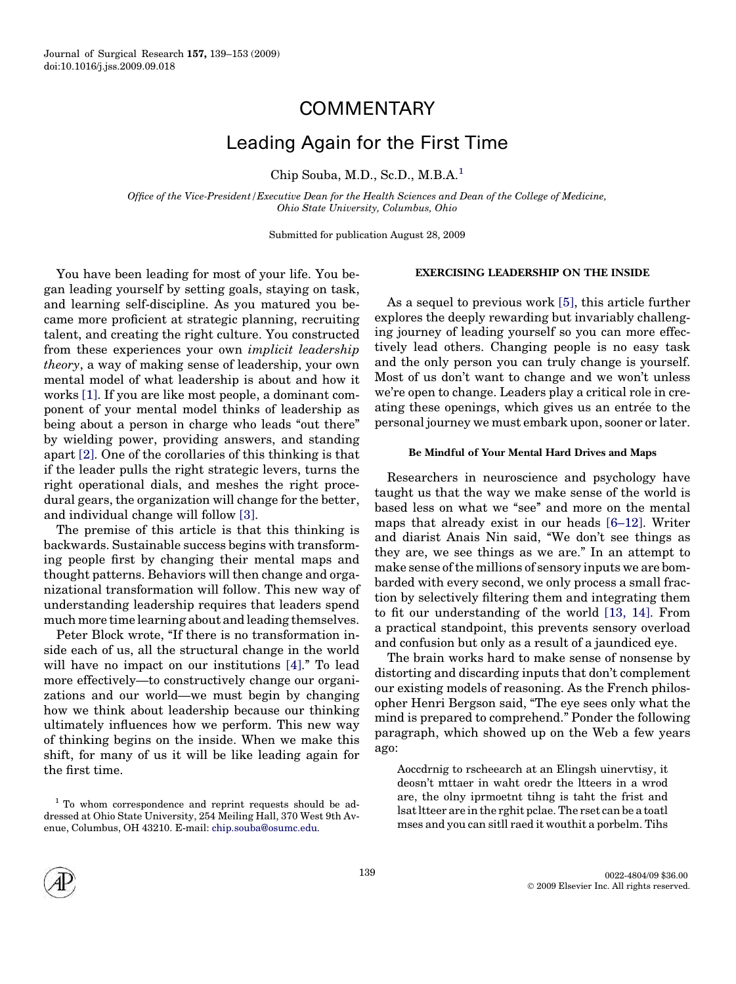# **COMMENTARY**

# Leading Again for the First Time

Chip Souba, M.D., Sc.D., M.B. $A<sup>1</sup>$ 

Office of the Vice-President/Executive Dean for the Health Sciences and Dean of the College of Medicine, Ohio State University, Columbus, Ohio

Submitted for publication August 28, 2009

You have been leading for most of your life. You began leading yourself by setting goals, staying on task, and learning self-discipline. As you matured you became more proficient at strategic planning, recruiting talent, and creating the right culture. You constructed from these experiences your own *implicit leadership* theory, a way of making sense of leadership, your own mental model of what leadership is about and how it works [1]. If you are like most people, a dominant component of your mental model thinks of leadership as being about a person in charge who leads "out there" by wielding power, providing answers, and standing apart [2]. One of the corollaries of this thinking is that if the leader pulls the right strategic levers, turns the right operational dials, and meshes the right procedural gears, the organization will change for the better, and individual change will follow [3].

The premise of this article is that this thinking is backwards. Sustainable success begins with transforming people first by changing their mental maps and thought patterns. Behaviors will then change and organizational transformation will follow. This new way of understanding leadership requires that leaders spend much more time learning about and leading themselves.

Peter Block wrote, "If there is no transformation inside each of us, all the structural change in the world will have no impact on our institutions [4].'' To lead more effectively—to constructively change our organizations and our world—we must begin by changing how we think about leadership because our thinking ultimately influences how we perform. This new way of thinking begins on the inside. When we make this shift, for many of us it will be like leading again for the first time.

## EXERCISING LEADERSHIP ON THE INSIDE

As a sequel to previous work [5], this article further explores the deeply rewarding but invariably challenging journey of leading yourself so you can more effectively lead others. Changing people is no easy task and the only person you can truly change is yourself. Most of us don't want to change and we won't unless we're open to change. Leaders play a critical role in creating these openings, which gives us an entrée to the personal journey we must embark upon, sooner or later.

### Be Mindful of Your Mental Hard Drives and Maps

Researchers in neuroscience and psychology have taught us that the way we make sense of the world is based less on what we "see" and more on the mental maps that already exist in our heads [6–12]. Writer and diarist Anais Nin said, ''We don't see things as they are, we see things as we are.'' In an attempt to make sense of the millions of sensory inputs we are bombarded with every second, we only process a small fraction by selectively filtering them and integrating them to fit our understanding of the world [13, 14]. From a practical standpoint, this prevents sensory overload and confusion but only as a result of a jaundiced eye.

The brain works hard to make sense of nonsense by distorting and discarding inputs that don't complement our existing models of reasoning. As the French philosopher Henri Bergson said, ''The eye sees only what the mind is prepared to comprehend.'' Ponder the following paragraph, which showed up on the Web a few years ago:

Aoccdrnig to rscheearch at an Elingsh uinervtisy, it deosn't mttaer in waht oredr the ltteers in a wrod are, the olny iprmoetnt tihng is taht the frist and lsat ltteer are in the rghit pclae. The rset can be a toatl mses and you can sitll raed it wouthit a porbelm. Tihs



<sup>1</sup> To whom correspondence and reprint requests should be addressed at Ohio State University, 254 Meiling Hall, 370 West 9th Avenue, Columbus, OH 43210. E-mail: [chip.souba@osumc.edu](mailto:chip.souba@osumc.edu).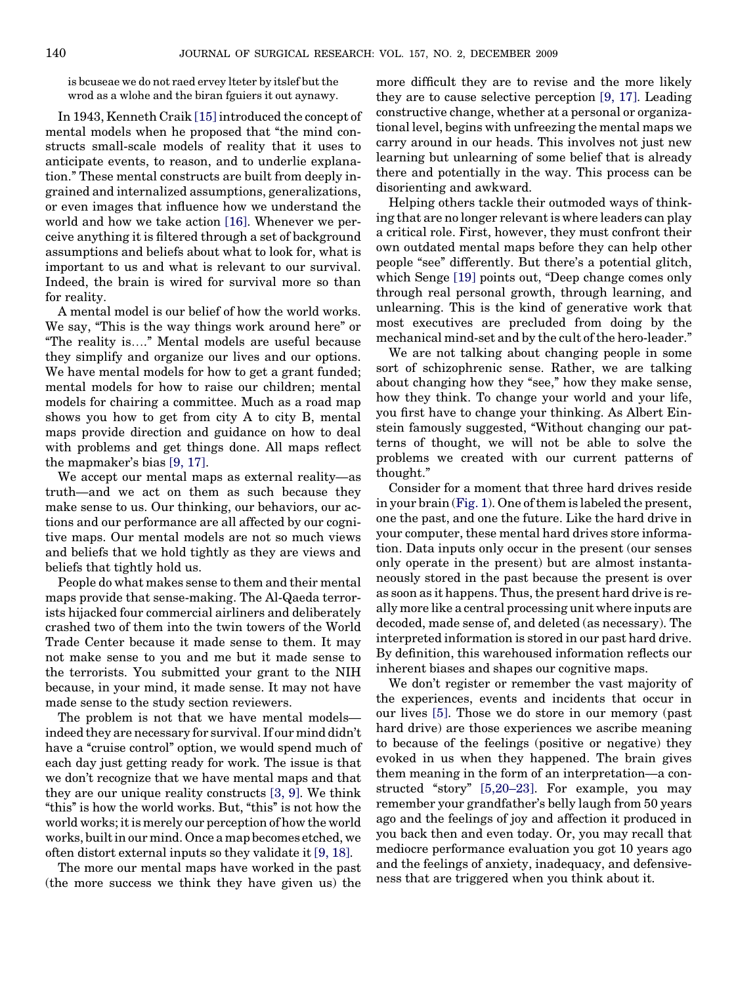is bcuseae we do not raed ervey lteter by itslef but the wrod as a wlohe and the biran fguiers it out aynawy.

In 1943, Kenneth Craik [15] introduced the concept of mental models when he proposed that "the mind constructs small-scale models of reality that it uses to anticipate events, to reason, and to underlie explanation.'' These mental constructs are built from deeply ingrained and internalized assumptions, generalizations, or even images that influence how we understand the world and how we take action [16]. Whenever we perceive anything it is filtered through a set of background assumptions and beliefs about what to look for, what is important to us and what is relevant to our survival. Indeed, the brain is wired for survival more so than for reality.

A mental model is our belief of how the world works. We say, "This is the way things work around here" or ''The reality is..'' Mental models are useful because they simplify and organize our lives and our options. We have mental models for how to get a grant funded; mental models for how to raise our children; mental models for chairing a committee. Much as a road map shows you how to get from city A to city B, mental maps provide direction and guidance on how to deal with problems and get things done. All maps reflect the mapmaker's bias [9, 17].

We accept our mental maps as external reality—as truth—and we act on them as such because they make sense to us. Our thinking, our behaviors, our actions and our performance are all affected by our cognitive maps. Our mental models are not so much views and beliefs that we hold tightly as they are views and beliefs that tightly hold us.

People do what makes sense to them and their mental maps provide that sense-making. The Al-Qaeda terrorists hijacked four commercial airliners and deliberately crashed two of them into the twin towers of the World Trade Center because it made sense to them. It may not make sense to you and me but it made sense to the terrorists. You submitted your grant to the NIH because, in your mind, it made sense. It may not have made sense to the study section reviewers.

The problem is not that we have mental models indeed they are necessary for survival. If our mind didn't have a "cruise control" option, we would spend much of each day just getting ready for work. The issue is that we don't recognize that we have mental maps and that they are our unique reality constructs [3, 9]. We think "this" is how the world works. But, "this" is not how the world works; it is merely our perception of how the world works, built in our mind. Once a map becomes etched, we often distort external inputs so they validate it [9, 18].

The more our mental maps have worked in the past (the more success we think they have given us) the

more difficult they are to revise and the more likely they are to cause selective perception [9, 17]. Leading constructive change, whether at a personal or organizational level, begins with unfreezing the mental maps we carry around in our heads. This involves not just new learning but unlearning of some belief that is already there and potentially in the way. This process can be disorienting and awkward.

Helping others tackle their outmoded ways of thinking that are no longer relevant is where leaders can play a critical role. First, however, they must confront their own outdated mental maps before they can help other people "see" differently. But there's a potential glitch, which Senge [19] points out, "Deep change comes only through real personal growth, through learning, and unlearning. This is the kind of generative work that most executives are precluded from doing by the mechanical mind-set and by the cult of the hero-leader.''

We are not talking about changing people in some sort of schizophrenic sense. Rather, we are talking about changing how they "see," how they make sense, how they think. To change your world and your life, you first have to change your thinking. As Albert Einstein famously suggested, ''Without changing our patterns of thought, we will not be able to solve the problems we created with our current patterns of thought.''

Consider for a moment that three hard drives reside in your brain (Fig. 1). One of them is labeled the present, one the past, and one the future. Like the hard drive in your computer, these mental hard drives store information. Data inputs only occur in the present (our senses only operate in the present) but are almost instantaneously stored in the past because the present is over as soon as it happens. Thus, the present hard drive is really more like a central processing unit where inputs are decoded, made sense of, and deleted (as necessary). The interpreted information is stored in our past hard drive. By definition, this warehoused information reflects our inherent biases and shapes our cognitive maps.

We don't register or remember the vast majority of the experiences, events and incidents that occur in our lives [5]. Those we do store in our memory (past hard drive) are those experiences we ascribe meaning to because of the feelings (positive or negative) they evoked in us when they happened. The brain gives them meaning in the form of an interpretation—a constructed "story"  $[5,20-23]$ . For example, you may remember your grandfather's belly laugh from 50 years ago and the feelings of joy and affection it produced in you back then and even today. Or, you may recall that mediocre performance evaluation you got 10 years ago and the feelings of anxiety, inadequacy, and defensiveness that are triggered when you think about it.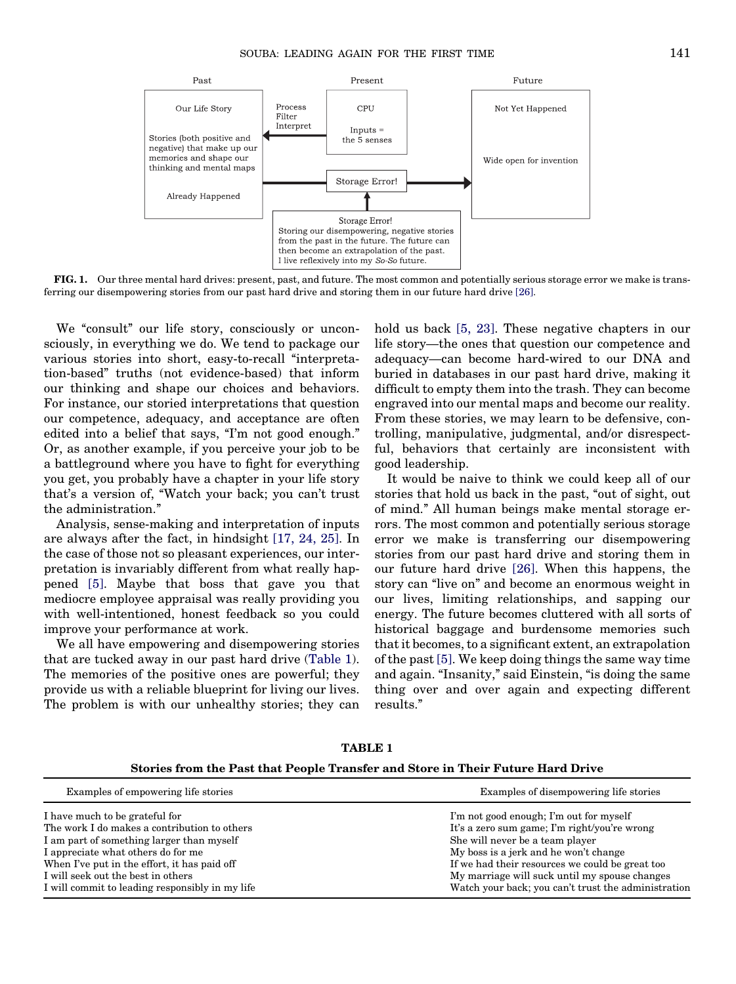

FIG. 1. Our three mental hard drives: present, past, and future. The most common and potentially serious storage error we make is transferring our disempowering stories from our past hard drive and storing them in our future hard drive [26].

We "consult" our life story, consciously or unconsciously, in everything we do. We tend to package our various stories into short, easy-to-recall ''interpretation-based'' truths (not evidence-based) that inform our thinking and shape our choices and behaviors. For instance, our storied interpretations that question our competence, adequacy, and acceptance are often edited into a belief that says, "I'm not good enough." Or, as another example, if you perceive your job to be a battleground where you have to fight for everything you get, you probably have a chapter in your life story that's a version of, ''Watch your back; you can't trust the administration.''

Analysis, sense-making and interpretation of inputs are always after the fact, in hindsight [17, 24, 25]. In the case of those not so pleasant experiences, our interpretation is invariably different from what really happened [5]. Maybe that boss that gave you that mediocre employee appraisal was really providing you with well-intentioned, honest feedback so you could improve your performance at work.

We all have empowering and disempowering stories that are tucked away in our past hard drive (Table 1). The memories of the positive ones are powerful; they provide us with a reliable blueprint for living our lives. The problem is with our unhealthy stories; they can

hold us back [5, 23]. These negative chapters in our life story—the ones that question our competence and adequacy—can become hard-wired to our DNA and buried in databases in our past hard drive, making it difficult to empty them into the trash. They can become engraved into our mental maps and become our reality. From these stories, we may learn to be defensive, controlling, manipulative, judgmental, and/or disrespectful, behaviors that certainly are inconsistent with good leadership.

It would be naive to think we could keep all of our stories that hold us back in the past, "out of sight, out of mind.'' All human beings make mental storage errors. The most common and potentially serious storage error we make is transferring our disempowering stories from our past hard drive and storing them in our future hard drive [26]. When this happens, the story can "live on" and become an enormous weight in our lives, limiting relationships, and sapping our energy. The future becomes cluttered with all sorts of historical baggage and burdensome memories such that it becomes, to a significant extent, an extrapolation of the past [5]. We keep doing things the same way time and again. "Insanity," said Einstein, "is doing the same thing over and over again and expecting different results.''

| <b>TABLE 1</b>                                                                  |  |
|---------------------------------------------------------------------------------|--|
| Stories from the Past that People Transfer and Store in Their Future Hard Drive |  |

| Examples of empowering life stories             | Examples of disempowering life stories              |
|-------------------------------------------------|-----------------------------------------------------|
| I have much to be grateful for                  | I'm not good enough; I'm out for myself             |
| The work I do makes a contribution to others    | It's a zero sum game; I'm right/you're wrong        |
| I am part of something larger than myself       | She will never be a team player                     |
| I appreciate what others do for me              | My boss is a jerk and he won't change               |
| When I've put in the effort, it has paid off    | If we had their resources we could be great too     |
| I will seek out the best in others              | My marriage will suck until my spouse changes       |
| I will commit to leading responsibly in my life | Watch your back; you can't trust the administration |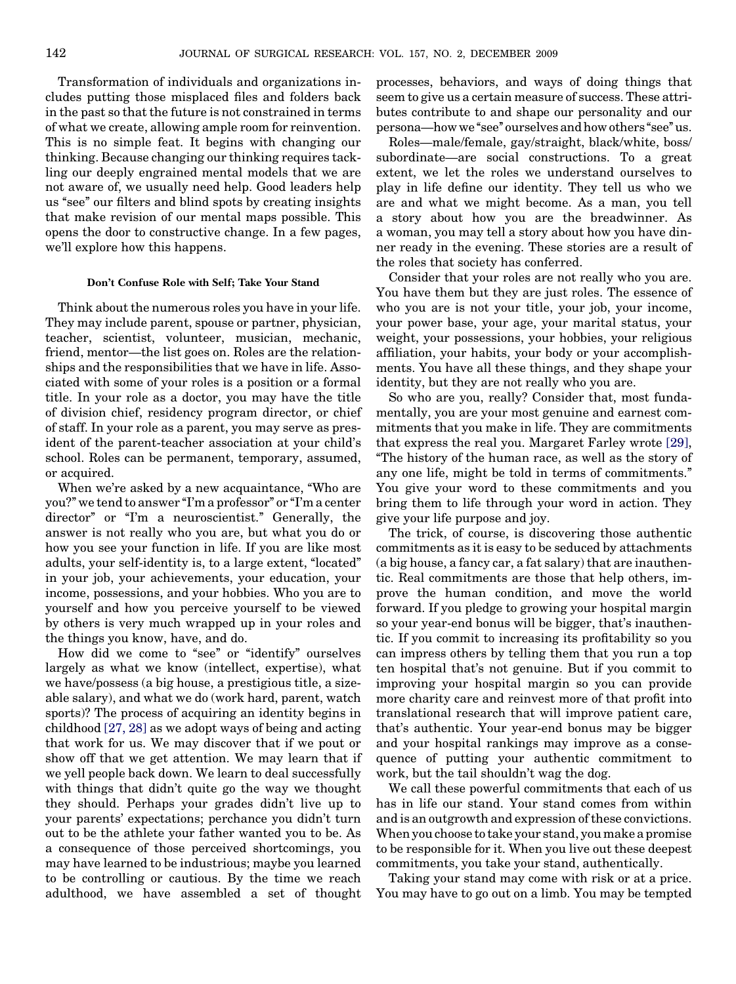Transformation of individuals and organizations includes putting those misplaced files and folders back in the past so that the future is not constrained in terms of what we create, allowing ample room for reinvention. This is no simple feat. It begins with changing our thinking. Because changing our thinking requires tackling our deeply engrained mental models that we are not aware of, we usually need help. Good leaders help us ''see'' our filters and blind spots by creating insights that make revision of our mental maps possible. This opens the door to constructive change. In a few pages, we'll explore how this happens.

### Don't Confuse Role with Self; Take Your Stand

Think about the numerous roles you have in your life. They may include parent, spouse or partner, physician, teacher, scientist, volunteer, musician, mechanic, friend, mentor—the list goes on. Roles are the relationships and the responsibilities that we have in life. Associated with some of your roles is a position or a formal title. In your role as a doctor, you may have the title of division chief, residency program director, or chief of staff. In your role as a parent, you may serve as president of the parent-teacher association at your child's school. Roles can be permanent, temporary, assumed, or acquired.

When we're asked by a new acquaintance, "Who are you?" we tend to answer "I'm a professor" or "I'm a center director" or "I'm a neuroscientist." Generally, the answer is not really who you are, but what you do or how you see your function in life. If you are like most adults, your self-identity is, to a large extent, ''located'' in your job, your achievements, your education, your income, possessions, and your hobbies. Who you are to yourself and how you perceive yourself to be viewed by others is very much wrapped up in your roles and the things you know, have, and do.

How did we come to "see" or "identify" ourselves largely as what we know (intellect, expertise), what we have/possess (a big house, a prestigious title, a sizeable salary), and what we do (work hard, parent, watch sports)? The process of acquiring an identity begins in childhood [27, 28] as we adopt ways of being and acting that work for us. We may discover that if we pout or show off that we get attention. We may learn that if we yell people back down. We learn to deal successfully with things that didn't quite go the way we thought they should. Perhaps your grades didn't live up to your parents' expectations; perchance you didn't turn out to be the athlete your father wanted you to be. As a consequence of those perceived shortcomings, you may have learned to be industrious; maybe you learned to be controlling or cautious. By the time we reach adulthood, we have assembled a set of thought processes, behaviors, and ways of doing things that seem to give us a certain measure of success. These attributes contribute to and shape our personality and our persona—how we "see" ourselves and how others "see" us.

Roles—male/female, gay/straight, black/white, boss/ subordinate—are social constructions. To a great extent, we let the roles we understand ourselves to play in life define our identity. They tell us who we are and what we might become. As a man, you tell a story about how you are the breadwinner. As a woman, you may tell a story about how you have dinner ready in the evening. These stories are a result of the roles that society has conferred.

Consider that your roles are not really who you are. You have them but they are just roles. The essence of who you are is not your title, your job, your income, your power base, your age, your marital status, your weight, your possessions, your hobbies, your religious affiliation, your habits, your body or your accomplishments. You have all these things, and they shape your identity, but they are not really who you are.

So who are you, really? Consider that, most fundamentally, you are your most genuine and earnest commitments that you make in life. They are commitments that express the real you. Margaret Farley wrote [29], ''The history of the human race, as well as the story of any one life, might be told in terms of commitments.'' You give your word to these commitments and you bring them to life through your word in action. They give your life purpose and joy.

The trick, of course, is discovering those authentic commitments as it is easy to be seduced by attachments (a big house, a fancy car, a fat salary) that are inauthentic. Real commitments are those that help others, improve the human condition, and move the world forward. If you pledge to growing your hospital margin so your year-end bonus will be bigger, that's inauthentic. If you commit to increasing its profitability so you can impress others by telling them that you run a top ten hospital that's not genuine. But if you commit to improving your hospital margin so you can provide more charity care and reinvest more of that profit into translational research that will improve patient care, that's authentic. Your year-end bonus may be bigger and your hospital rankings may improve as a consequence of putting your authentic commitment to work, but the tail shouldn't wag the dog.

We call these powerful commitments that each of us has in life our stand. Your stand comes from within and is an outgrowth and expression of these convictions. When you choose to take your stand, you make a promise to be responsible for it. When you live out these deepest commitments, you take your stand, authentically.

Taking your stand may come with risk or at a price. You may have to go out on a limb. You may be tempted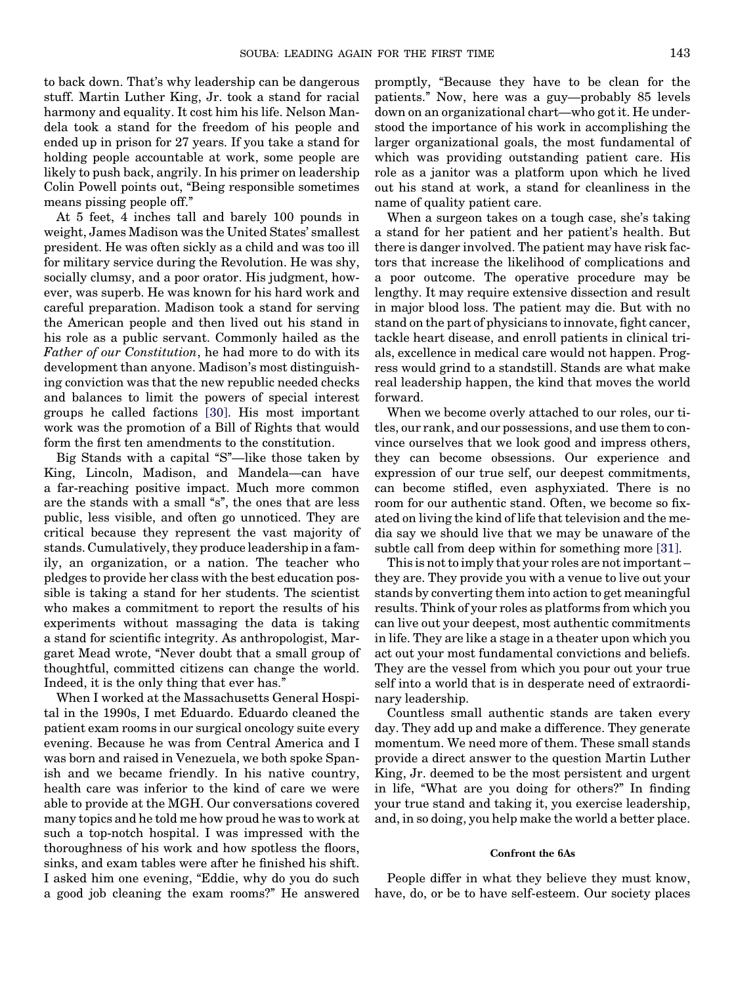to back down. That's why leadership can be dangerous stuff. Martin Luther King, Jr. took a stand for racial harmony and equality. It cost him his life. Nelson Mandela took a stand for the freedom of his people and ended up in prison for 27 years. If you take a stand for holding people accountable at work, some people are likely to push back, angrily. In his primer on leadership Colin Powell points out, ''Being responsible sometimes means pissing people off.''

At 5 feet, 4 inches tall and barely 100 pounds in weight, James Madison was the United States' smallest president. He was often sickly as a child and was too ill for military service during the Revolution. He was shy, socially clumsy, and a poor orator. His judgment, however, was superb. He was known for his hard work and careful preparation. Madison took a stand for serving the American people and then lived out his stand in his role as a public servant. Commonly hailed as the Father of our Constitution, he had more to do with its development than anyone. Madison's most distinguishing conviction was that the new republic needed checks and balances to limit the powers of special interest groups he called factions [30]. His most important work was the promotion of a Bill of Rights that would form the first ten amendments to the constitution.

Big Stands with a capital "S"—like those taken by King, Lincoln, Madison, and Mandela—can have a far-reaching positive impact. Much more common are the stands with a small "s", the ones that are less public, less visible, and often go unnoticed. They are critical because they represent the vast majority of stands. Cumulatively, they produce leadership in a family, an organization, or a nation. The teacher who pledges to provide her class with the best education possible is taking a stand for her students. The scientist who makes a commitment to report the results of his experiments without massaging the data is taking a stand for scientific integrity. As anthropologist, Margaret Mead wrote, ''Never doubt that a small group of thoughtful, committed citizens can change the world. Indeed, it is the only thing that ever has.''

When I worked at the Massachusetts General Hospital in the 1990s, I met Eduardo. Eduardo cleaned the patient exam rooms in our surgical oncology suite every evening. Because he was from Central America and I was born and raised in Venezuela, we both spoke Spanish and we became friendly. In his native country, health care was inferior to the kind of care we were able to provide at the MGH. Our conversations covered many topics and he told me how proud he was to work at such a top-notch hospital. I was impressed with the thoroughness of his work and how spotless the floors, sinks, and exam tables were after he finished his shift. I asked him one evening, "Eddie, why do you do such a good job cleaning the exam rooms?'' He answered promptly, ''Because they have to be clean for the patients.'' Now, here was a guy—probably 85 levels down on an organizational chart—who got it. He understood the importance of his work in accomplishing the larger organizational goals, the most fundamental of which was providing outstanding patient care. His role as a janitor was a platform upon which he lived out his stand at work, a stand for cleanliness in the name of quality patient care.

When a surgeon takes on a tough case, she's taking a stand for her patient and her patient's health. But there is danger involved. The patient may have risk factors that increase the likelihood of complications and a poor outcome. The operative procedure may be lengthy. It may require extensive dissection and result in major blood loss. The patient may die. But with no stand on the part of physicians to innovate, fight cancer, tackle heart disease, and enroll patients in clinical trials, excellence in medical care would not happen. Progress would grind to a standstill. Stands are what make real leadership happen, the kind that moves the world forward.

When we become overly attached to our roles, our titles, our rank, and our possessions, and use them to convince ourselves that we look good and impress others, they can become obsessions. Our experience and expression of our true self, our deepest commitments, can become stifled, even asphyxiated. There is no room for our authentic stand. Often, we become so fixated on living the kind of life that television and the media say we should live that we may be unaware of the subtle call from deep within for something more [31].

This is not to imply that your roles are not important – they are. They provide you with a venue to live out your stands by converting them into action to get meaningful results. Think of your roles as platforms from which you can live out your deepest, most authentic commitments in life. They are like a stage in a theater upon which you act out your most fundamental convictions and beliefs. They are the vessel from which you pour out your true self into a world that is in desperate need of extraordinary leadership.

Countless small authentic stands are taken every day. They add up and make a difference. They generate momentum. We need more of them. These small stands provide a direct answer to the question Martin Luther King, Jr. deemed to be the most persistent and urgent in life, "What are you doing for others?" In finding your true stand and taking it, you exercise leadership, and, in so doing, you help make the world a better place.

### Confront the 6As

People differ in what they believe they must know, have, do, or be to have self-esteem. Our society places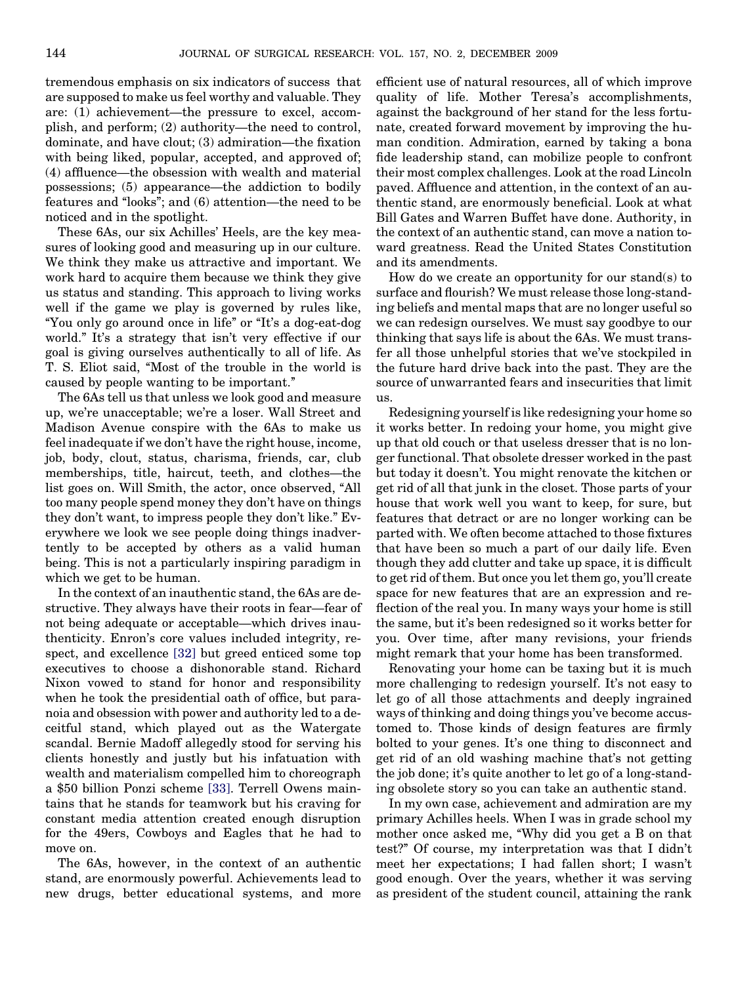tremendous emphasis on six indicators of success that are supposed to make us feel worthy and valuable. They are: (1) achievement—the pressure to excel, accomplish, and perform; (2) authority—the need to control, dominate, and have clout; (3) admiration—the fixation with being liked, popular, accepted, and approved of; (4) affluence—the obsession with wealth and material possessions; (5) appearance—the addiction to bodily features and ''looks''; and (6) attention—the need to be noticed and in the spotlight.

These 6As, our six Achilles' Heels, are the key measures of looking good and measuring up in our culture. We think they make us attractive and important. We work hard to acquire them because we think they give us status and standing. This approach to living works well if the game we play is governed by rules like, "You only go around once in life" or "It's a dog-eat-dog" world." It's a strategy that isn't very effective if our goal is giving ourselves authentically to all of life. As T. S. Eliot said, "Most of the trouble in the world is caused by people wanting to be important.''

The 6As tell us that unless we look good and measure up, we're unacceptable; we're a loser. Wall Street and Madison Avenue conspire with the 6As to make us feel inadequate if we don't have the right house, income, job, body, clout, status, charisma, friends, car, club memberships, title, haircut, teeth, and clothes—the list goes on. Will Smith, the actor, once observed, "All too many people spend money they don't have on things they don't want, to impress people they don't like.'' Everywhere we look we see people doing things inadvertently to be accepted by others as a valid human being. This is not a particularly inspiring paradigm in which we get to be human.

In the context of an inauthentic stand, the 6As are destructive. They always have their roots in fear—fear of not being adequate or acceptable—which drives inauthenticity. Enron's core values included integrity, respect, and excellence [32] but greed enticed some top executives to choose a dishonorable stand. Richard Nixon vowed to stand for honor and responsibility when he took the presidential oath of office, but paranoia and obsession with power and authority led to a deceitful stand, which played out as the Watergate scandal. Bernie Madoff allegedly stood for serving his clients honestly and justly but his infatuation with wealth and materialism compelled him to choreograph a \$50 billion Ponzi scheme [33]. Terrell Owens maintains that he stands for teamwork but his craving for constant media attention created enough disruption for the 49ers, Cowboys and Eagles that he had to move on.

The 6As, however, in the context of an authentic stand, are enormously powerful. Achievements lead to new drugs, better educational systems, and more

efficient use of natural resources, all of which improve quality of life. Mother Teresa's accomplishments, against the background of her stand for the less fortunate, created forward movement by improving the human condition. Admiration, earned by taking a bona fide leadership stand, can mobilize people to confront their most complex challenges. Look at the road Lincoln paved. Affluence and attention, in the context of an authentic stand, are enormously beneficial. Look at what Bill Gates and Warren Buffet have done. Authority, in the context of an authentic stand, can move a nation toward greatness. Read the United States Constitution and its amendments.

How do we create an opportunity for our stand(s) to surface and flourish? We must release those long-standing beliefs and mental maps that are no longer useful so we can redesign ourselves. We must say goodbye to our thinking that says life is about the 6As. We must transfer all those unhelpful stories that we've stockpiled in the future hard drive back into the past. They are the source of unwarranted fears and insecurities that limit us.

Redesigning yourself is like redesigning your home so it works better. In redoing your home, you might give up that old couch or that useless dresser that is no longer functional. That obsolete dresser worked in the past but today it doesn't. You might renovate the kitchen or get rid of all that junk in the closet. Those parts of your house that work well you want to keep, for sure, but features that detract or are no longer working can be parted with. We often become attached to those fixtures that have been so much a part of our daily life. Even though they add clutter and take up space, it is difficult to get rid of them. But once you let them go, you'll create space for new features that are an expression and reflection of the real you. In many ways your home is still the same, but it's been redesigned so it works better for you. Over time, after many revisions, your friends might remark that your home has been transformed.

Renovating your home can be taxing but it is much more challenging to redesign yourself. It's not easy to let go of all those attachments and deeply ingrained ways of thinking and doing things you've become accustomed to. Those kinds of design features are firmly bolted to your genes. It's one thing to disconnect and get rid of an old washing machine that's not getting the job done; it's quite another to let go of a long-standing obsolete story so you can take an authentic stand.

In my own case, achievement and admiration are my primary Achilles heels. When I was in grade school my mother once asked me, ''Why did you get a B on that test?'' Of course, my interpretation was that I didn't meet her expectations; I had fallen short; I wasn't good enough. Over the years, whether it was serving as president of the student council, attaining the rank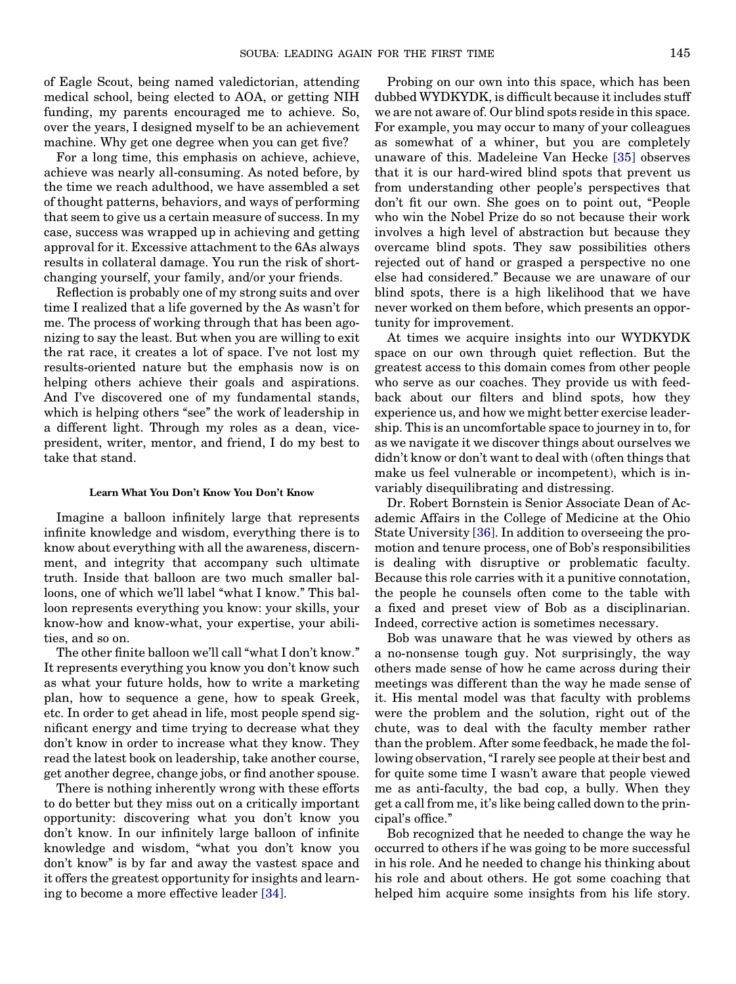of Eagle Scout, being named valedictorian, attending medical school, being elected to AOA, or getting NIH funding, my parents encouraged me to achieve. So, over the years, I designed myself to be an achievement machine. Why get one degree when you can get five?

For a long time, this emphasis on achieve, achieve, achieve was nearly all-consuming. As noted before, by the time we reach adulthood, we have assembled a set of thought patterns, behaviors, and ways of performing that seem to give us a certain measure of success. In my case, success was wrapped up in achieving and getting approval for it. Excessive attachment to the 6As always results in collateral damage. You run the risk of shortchanging yourself, your family, and/or your friends.

Reflection is probably one of my strong suits and over time I realized that a life governed by the As wasn't for me. The process of working through that has been agonizing to say the least. But when you are willing to exit the rat race, it creates a lot of space. I've not lost my results-oriented nature but the emphasis now is on helping others achieve their goals and aspirations. And I've discovered one of my fundamental stands, which is helping others "see" the work of leadership in a different light. Through my roles as a dean, vicepresident, writer, mentor, and friend, I do my best to take that stand.

### Learn What You Don't Know You Don't Know

Imagine a balloon infinitely large that represents infinite knowledge and wisdom, everything there is to know about everything with all the awareness, discernment, and integrity that accompany such ultimate truth. Inside that balloon are two much smaller balloons, one of which we'll label "what I know." This balloon represents everything you know: your skills, your know-how and know-what, your expertise, your abilities, and so on.

The other finite balloon we'll call "what I don't know." It represents everything you know you don't know such as what your future holds, how to write a marketing plan, how to sequence a gene, how to speak Greek, etc. In order to get ahead in life, most people spend significant energy and time trying to decrease what they don't know in order to increase what they know. They read the latest book on leadership, take another course, get another degree, change jobs, or find another spouse.

There is nothing inherently wrong with these efforts to do better but they miss out on a critically important opportunity: discovering what you don't know you don't know. In our infinitely large balloon of infinite knowledge and wisdom, ''what you don't know you don't know'' is by far and away the vastest space and it offers the greatest opportunity for insights and learning to become a more effective leader [34].

Probing on our own into this space, which has been dubbed WYDKYDK, is difficult because it includes stuff we are not aware of. Our blind spots reside in this space. For example, you may occur to many of your colleagues as somewhat of a whiner, but you are completely unaware of this. Madeleine Van Hecke [35] observes that it is our hard-wired blind spots that prevent us from understanding other people's perspectives that don't fit our own. She goes on to point out, ''People who win the Nobel Prize do so not because their work involves a high level of abstraction but because they overcame blind spots. They saw possibilities others rejected out of hand or grasped a perspective no one else had considered.'' Because we are unaware of our blind spots, there is a high likelihood that we have never worked on them before, which presents an opportunity for improvement.

At times we acquire insights into our WYDKYDK space on our own through quiet reflection. But the greatest access to this domain comes from other people who serve as our coaches. They provide us with feedback about our filters and blind spots, how they experience us, and how we might better exercise leadership. This is an uncomfortable space to journey in to, for as we navigate it we discover things about ourselves we didn't know or don't want to deal with (often things that make us feel vulnerable or incompetent), which is invariably disequilibrating and distressing.

Dr. Robert Bornstein is Senior Associate Dean of Academic Affairs in the College of Medicine at the Ohio State University [36]. In addition to overseeing the promotion and tenure process, one of Bob's responsibilities is dealing with disruptive or problematic faculty. Because this role carries with it a punitive connotation, the people he counsels often come to the table with a fixed and preset view of Bob as a disciplinarian. Indeed, corrective action is sometimes necessary.

Bob was unaware that he was viewed by others as a no-nonsense tough guy. Not surprisingly, the way others made sense of how he came across during their meetings was different than the way he made sense of it. His mental model was that faculty with problems were the problem and the solution, right out of the chute, was to deal with the faculty member rather than the problem. After some feedback, he made the following observation, "I rarely see people at their best and for quite some time I wasn't aware that people viewed me as anti-faculty, the bad cop, a bully. When they get a call from me, it's like being called down to the principal's office.''

Bob recognized that he needed to change the way he occurred to others if he was going to be more successful in his role. And he needed to change his thinking about his role and about others. He got some coaching that helped him acquire some insights from his life story.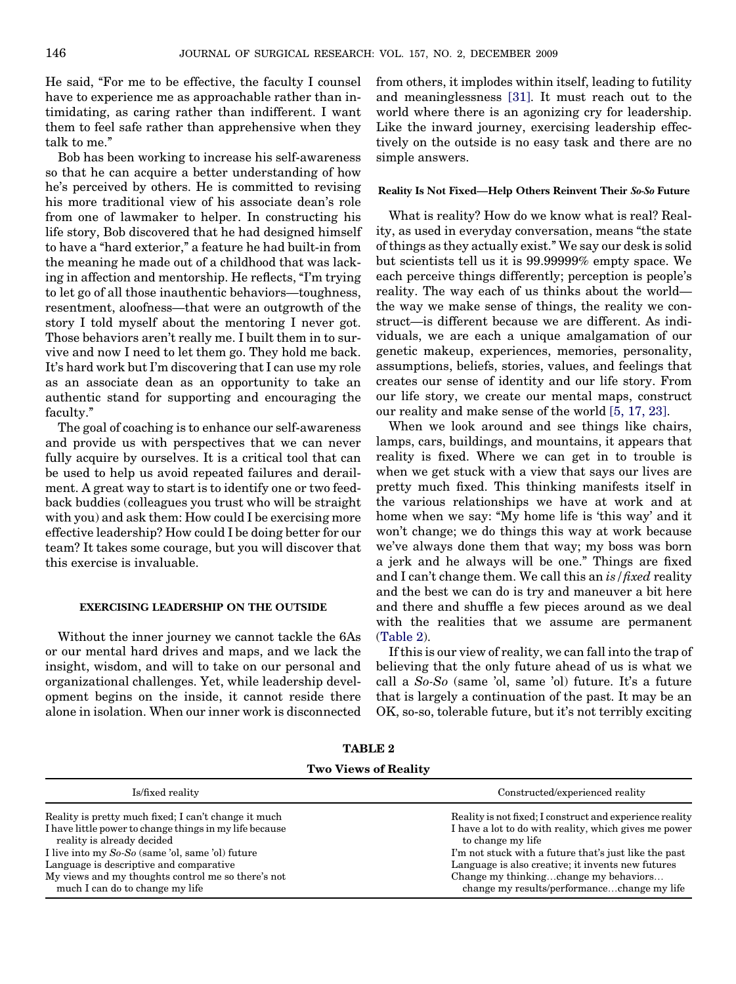He said, "For me to be effective, the faculty I counsel have to experience me as approachable rather than intimidating, as caring rather than indifferent. I want them to feel safe rather than apprehensive when they talk to me.''

Bob has been working to increase his self-awareness so that he can acquire a better understanding of how he's perceived by others. He is committed to revising his more traditional view of his associate dean's role from one of lawmaker to helper. In constructing his life story, Bob discovered that he had designed himself to have a "hard exterior," a feature he had built-in from the meaning he made out of a childhood that was lacking in affection and mentorship. He reflects, "I'm trying to let go of all those inauthentic behaviors—toughness, resentment, aloofness—that were an outgrowth of the story I told myself about the mentoring I never got. Those behaviors aren't really me. I built them in to survive and now I need to let them go. They hold me back. It's hard work but I'm discovering that I can use my role as an associate dean as an opportunity to take an authentic stand for supporting and encouraging the faculty.''

The goal of coaching is to enhance our self-awareness and provide us with perspectives that we can never fully acquire by ourselves. It is a critical tool that can be used to help us avoid repeated failures and derailment. A great way to start is to identify one or two feedback buddies (colleagues you trust who will be straight with you) and ask them: How could I be exercising more effective leadership? How could I be doing better for our team? It takes some courage, but you will discover that this exercise is invaluable.

### EXERCISING LEADERSHIP ON THE OUTSIDE

Without the inner journey we cannot tackle the 6As or our mental hard drives and maps, and we lack the insight, wisdom, and will to take on our personal and organizational challenges. Yet, while leadership development begins on the inside, it cannot reside there alone in isolation. When our inner work is disconnected from others, it implodes within itself, leading to futility and meaninglessness [31]. It must reach out to the world where there is an agonizing cry for leadership. Like the inward journey, exercising leadership effectively on the outside is no easy task and there are no simple answers.

### Reality Is Not Fixed—Help Others Reinvent Their So-So Future

What is reality? How do we know what is real? Reality, as used in everyday conversation, means ''the state of things as they actually exist.'' We say our desk is solid but scientists tell us it is 99.99999% empty space. We each perceive things differently; perception is people's reality. The way each of us thinks about the world the way we make sense of things, the reality we construct—is different because we are different. As individuals, we are each a unique amalgamation of our genetic makeup, experiences, memories, personality, assumptions, beliefs, stories, values, and feelings that creates our sense of identity and our life story. From our life story, we create our mental maps, construct our reality and make sense of the world [5, 17, 23].

When we look around and see things like chairs, lamps, cars, buildings, and mountains, it appears that reality is fixed. Where we can get in to trouble is when we get stuck with a view that says our lives are pretty much fixed. This thinking manifests itself in the various relationships we have at work and at home when we say: "My home life is 'this way' and it won't change; we do things this way at work because we've always done them that way; my boss was born a jerk and he always will be one.'' Things are fixed and I can't change them. We call this an is/*fixed* reality and the best we can do is try and maneuver a bit here and there and shuffle a few pieces around as we deal with the realities that we assume are permanent (Table 2).

If this is our view of reality, we can fall into the trap of believing that the only future ahead of us is what we call a So-So (same 'ol, same 'ol) future. It's a future that is largely a continuation of the past. It may be an OK, so-so, tolerable future, but it's not terribly exciting

| <b>Two Views of Reality</b>                                                          |  |  |
|--------------------------------------------------------------------------------------|--|--|
| Constructed/experienced reality                                                      |  |  |
| Reality is not fixed; I construct and experience reality                             |  |  |
| I have a lot to do with reality, which gives me power<br>to change my life           |  |  |
| I'm not stuck with a future that's just like the past                                |  |  |
| Language is also creative; it invents new futures                                    |  |  |
| Change my thinkingchange my behaviors<br>change my results/performancechange my life |  |  |
|                                                                                      |  |  |

TABLE 2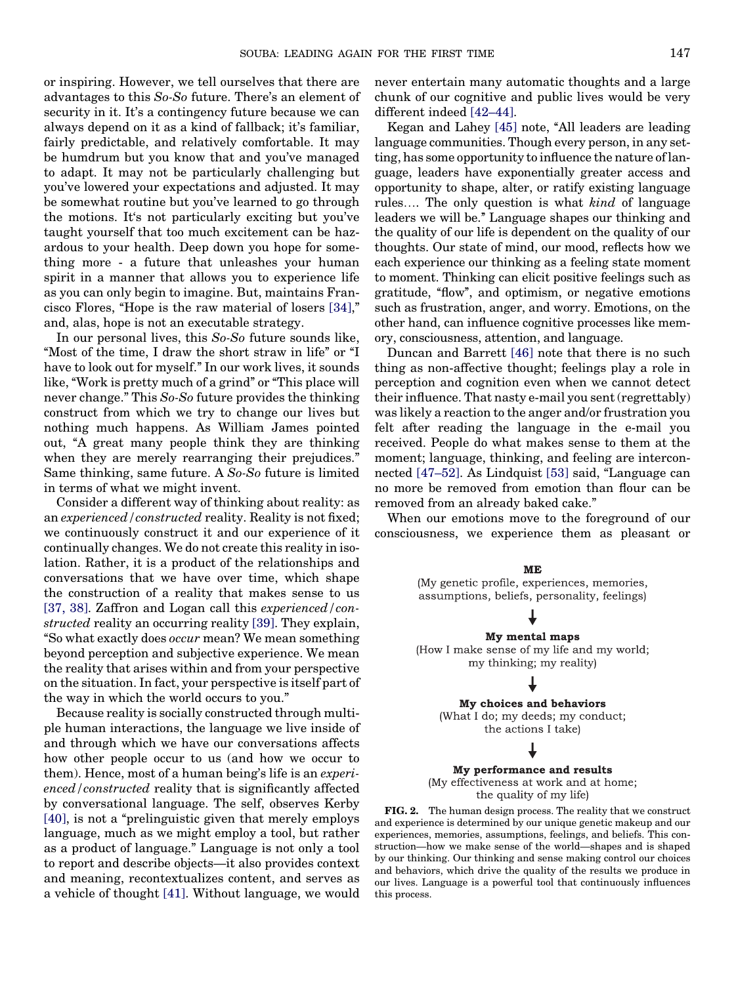or inspiring. However, we tell ourselves that there are advantages to this So-So future. There's an element of security in it. It's a contingency future because we can always depend on it as a kind of fallback; it's familiar, fairly predictable, and relatively comfortable. It may be humdrum but you know that and you've managed to adapt. It may not be particularly challenging but you've lowered your expectations and adjusted. It may be somewhat routine but you've learned to go through the motions. It's not particularly exciting but you've taught yourself that too much excitement can be hazardous to your health. Deep down you hope for something more - a future that unleashes your human spirit in a manner that allows you to experience life as you can only begin to imagine. But, maintains Francisco Flores, ''Hope is the raw material of losers [34],'' and, alas, hope is not an executable strategy.

In our personal lives, this So-So future sounds like, "Most of the time, I draw the short straw in life" or "I have to look out for myself.'' In our work lives, it sounds like, "Work is pretty much of a grind" or "This place will never change.'' This So-So future provides the thinking construct from which we try to change our lives but nothing much happens. As William James pointed out, "A great many people think they are thinking when they are merely rearranging their prejudices." Same thinking, same future. A So-So future is limited in terms of what we might invent.

Consider a different way of thinking about reality: as an experienced/constructed reality. Reality is not fixed; we continuously construct it and our experience of it continually changes. We do not create this reality in isolation. Rather, it is a product of the relationships and conversations that we have over time, which shape the construction of a reality that makes sense to us [37, 38]. Zaffron and Logan call this *experienced*/constructed reality an occurring reality [39]. They explain, ''So what exactly does occur mean? We mean something beyond perception and subjective experience. We mean the reality that arises within and from your perspective on the situation. In fact, your perspective is itself part of the way in which the world occurs to you.''

Because reality is socially constructed through multiple human interactions, the language we live inside of and through which we have our conversations affects how other people occur to us (and how we occur to them). Hence, most of a human being's life is an *experi*enced/constructed reality that is significantly affected by conversational language. The self, observes Kerby [40], is not a "prelinguistic given that merely employs language, much as we might employ a tool, but rather as a product of language.'' Language is not only a tool to report and describe objects—it also provides context and meaning, recontextualizes content, and serves as a vehicle of thought [41]. Without language, we would never entertain many automatic thoughts and a large chunk of our cognitive and public lives would be very different indeed [42–44].

Kegan and Lahey [45] note, "All leaders are leading" language communities. Though every person, in any setting, has some opportunity to influence the nature of language, leaders have exponentially greater access and opportunity to shape, alter, or ratify existing language rules.... The only question is what *kind* of language leaders we will be.'' Language shapes our thinking and the quality of our life is dependent on the quality of our thoughts. Our state of mind, our mood, reflects how we each experience our thinking as a feeling state moment to moment. Thinking can elicit positive feelings such as gratitude, "flow", and optimism, or negative emotions such as frustration, anger, and worry. Emotions, on the other hand, can influence cognitive processes like memory, consciousness, attention, and language.

Duncan and Barrett [46] note that there is no such thing as non-affective thought; feelings play a role in perception and cognition even when we cannot detect their influence. That nasty e-mail you sent (regrettably) was likely a reaction to the anger and/or frustration you felt after reading the language in the e-mail you received. People do what makes sense to them at the moment; language, thinking, and feeling are interconnected [47–52]. As Lindquist [53] said, "Language can no more be removed from emotion than flour can be removed from an already baked cake.''

When our emotions move to the foreground of our consciousness, we experience them as pleasant or

### **ME**

(My genetic profile, experiences, memories, assumptions, beliefs, personality, feelings)

My mental maps (How I make sense of my life and my world; my thinking; my reality)

My choices and behaviors (What I do; my deeds; my conduct; the actions I take)

My performance and results (My effectiveness at work and at home; the quality of my life)

FIG. 2. The human design process. The reality that we construct and experience is determined by our unique genetic makeup and our experiences, memories, assumptions, feelings, and beliefs. This construction—how we make sense of the world—shapes and is shaped by our thinking. Our thinking and sense making control our choices and behaviors, which drive the quality of the results we produce in our lives. Language is a powerful tool that continuously influences this process.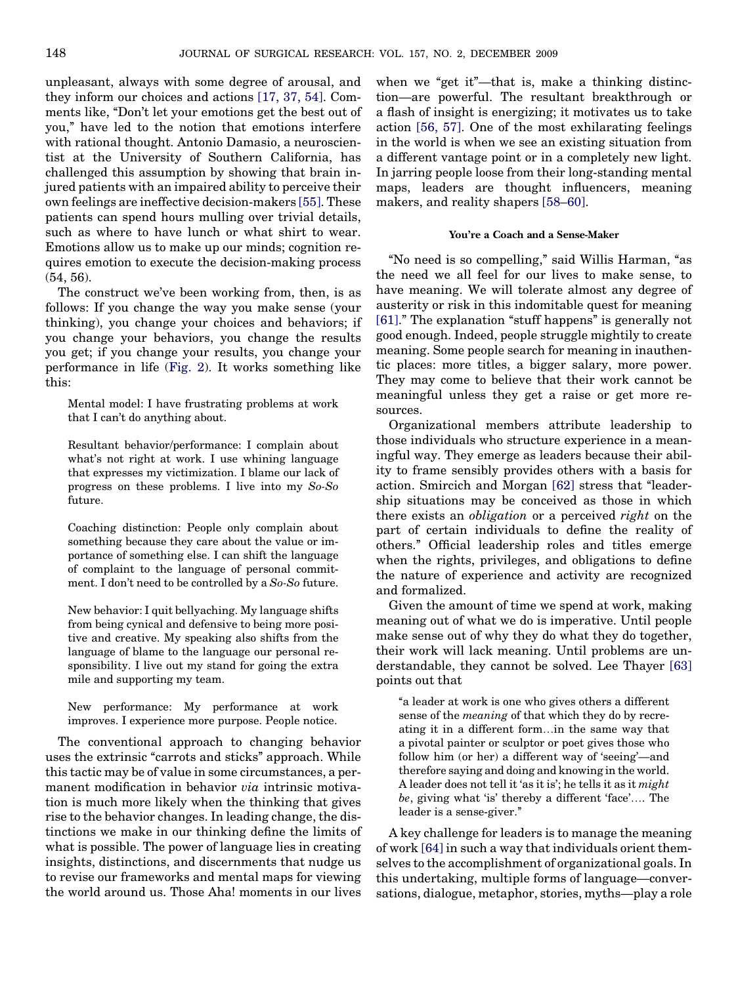unpleasant, always with some degree of arousal, and they inform our choices and actions [17, 37, 54]. Comments like, "Don't let your emotions get the best out of you,'' have led to the notion that emotions interfere with rational thought. Antonio Damasio, a neuroscientist at the University of Southern California, has challenged this assumption by showing that brain injured patients with an impaired ability to perceive their own feelings are ineffective decision-makers [55]. These patients can spend hours mulling over trivial details, such as where to have lunch or what shirt to wear. Emotions allow us to make up our minds; cognition requires emotion to execute the decision-making process (54, 56).

The construct we've been working from, then, is as follows: If you change the way you make sense (your thinking), you change your choices and behaviors; if you change your behaviors, you change the results you get; if you change your results, you change your performance in life (Fig. 2). It works something like this:

Mental model: I have frustrating problems at work that I can't do anything about.

Resultant behavior/performance: I complain about what's not right at work. I use whining language that expresses my victimization. I blame our lack of progress on these problems. I live into my So-So future.

Coaching distinction: People only complain about something because they care about the value or importance of something else. I can shift the language of complaint to the language of personal commitment. I don't need to be controlled by a So-So future.

New behavior: I quit bellyaching. My language shifts from being cynical and defensive to being more positive and creative. My speaking also shifts from the language of blame to the language our personal responsibility. I live out my stand for going the extra mile and supporting my team.

New performance: My performance at work improves. I experience more purpose. People notice.

The conventional approach to changing behavior uses the extrinsic "carrots and sticks" approach. While this tactic may be of value in some circumstances, a permanent modification in behavior via intrinsic motivation is much more likely when the thinking that gives rise to the behavior changes. In leading change, the distinctions we make in our thinking define the limits of what is possible. The power of language lies in creating insights, distinctions, and discernments that nudge us to revise our frameworks and mental maps for viewing the world around us. Those Aha! moments in our lives when we "get it"—that is, make a thinking distinction—are powerful. The resultant breakthrough or a flash of insight is energizing; it motivates us to take action [56, 57]. One of the most exhilarating feelings in the world is when we see an existing situation from a different vantage point or in a completely new light. In jarring people loose from their long-standing mental maps, leaders are thought influencers, meaning makers, and reality shapers [58–60].

### You're a Coach and a Sense-Maker

"No need is so compelling," said Willis Harman, "as the need we all feel for our lives to make sense, to have meaning. We will tolerate almost any degree of austerity or risk in this indomitable quest for meaning [61]." The explanation "stuff happens" is generally not good enough. Indeed, people struggle mightily to create meaning. Some people search for meaning in inauthentic places: more titles, a bigger salary, more power. They may come to believe that their work cannot be meaningful unless they get a raise or get more resources.

Organizational members attribute leadership to those individuals who structure experience in a meaningful way. They emerge as leaders because their ability to frame sensibly provides others with a basis for action. Smircich and Morgan [62] stress that ''leadership situations may be conceived as those in which there exists an obligation or a perceived right on the part of certain individuals to define the reality of others.'' Official leadership roles and titles emerge when the rights, privileges, and obligations to define the nature of experience and activity are recognized and formalized.

Given the amount of time we spend at work, making meaning out of what we do is imperative. Until people make sense out of why they do what they do together, their work will lack meaning. Until problems are understandable, they cannot be solved. Lee Thayer [63] points out that

"a leader at work is one who gives others a different sense of the meaning of that which they do by recreating it in a different form...in the same way that a pivotal painter or sculptor or poet gives those who follow him (or her) a different way of 'seeing'—and therefore saying and doing and knowing in the world. A leader does not tell it 'as it is'; he tells it as it might be, giving what 'is' thereby a different 'face'.... The leader is a sense-giver.''

A key challenge for leaders is to manage the meaning of work [64] in such a way that individuals orient themselves to the accomplishment of organizational goals. In this undertaking, multiple forms of language—conversations, dialogue, metaphor, stories, myths—play a role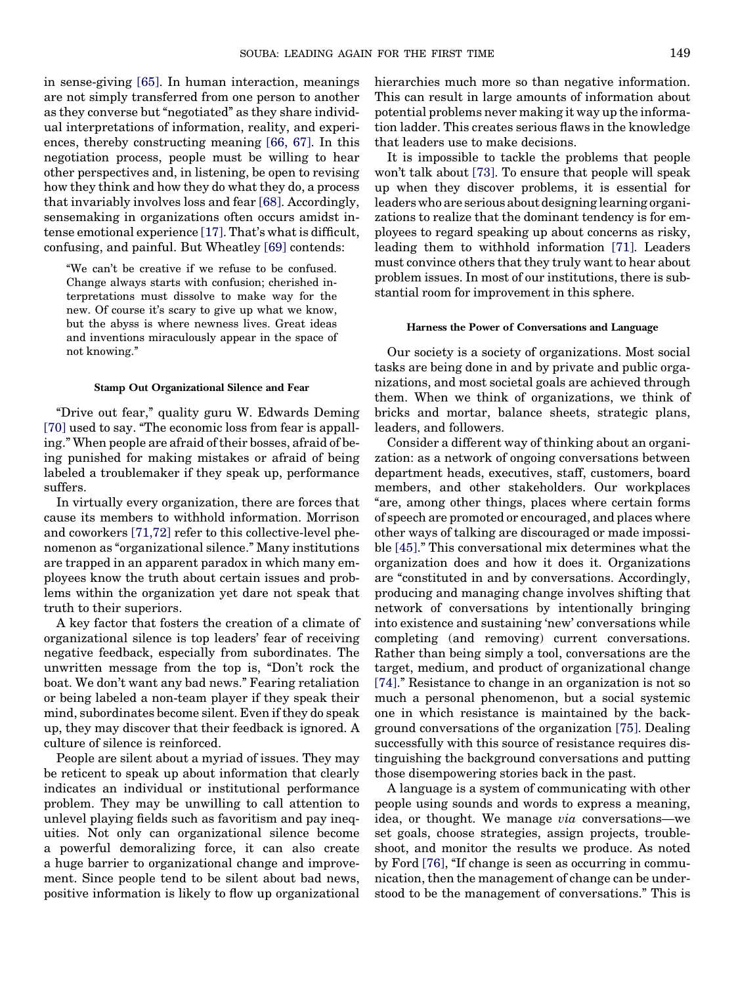in sense-giving [65]. In human interaction, meanings are not simply transferred from one person to another as they converse but "negotiated" as they share individual interpretations of information, reality, and experiences, thereby constructing meaning [66, 67]. In this negotiation process, people must be willing to hear other perspectives and, in listening, be open to revising how they think and how they do what they do, a process that invariably involves loss and fear [68]. Accordingly, sensemaking in organizations often occurs amidst intense emotional experience [17]. That's what is difficult, confusing, and painful. But Wheatley [69] contends:

''We can't be creative if we refuse to be confused. Change always starts with confusion; cherished interpretations must dissolve to make way for the new. Of course it's scary to give up what we know, but the abyss is where newness lives. Great ideas and inventions miraculously appear in the space of not knowing.''

### Stamp Out Organizational Silence and Fear

"Drive out fear," quality guru W. Edwards Deming" [70] used to say. "The economic loss from fear is appalling.'' When people are afraid of their bosses, afraid of being punished for making mistakes or afraid of being labeled a troublemaker if they speak up, performance suffers.

In virtually every organization, there are forces that cause its members to withhold information. Morrison and coworkers [71,72] refer to this collective-level phenomenon as "organizational silence." Many institutions are trapped in an apparent paradox in which many employees know the truth about certain issues and problems within the organization yet dare not speak that truth to their superiors.

A key factor that fosters the creation of a climate of organizational silence is top leaders' fear of receiving negative feedback, especially from subordinates. The unwritten message from the top is, ''Don't rock the boat. We don't want any bad news.'' Fearing retaliation or being labeled a non-team player if they speak their mind, subordinates become silent. Even if they do speak up, they may discover that their feedback is ignored. A culture of silence is reinforced.

People are silent about a myriad of issues. They may be reticent to speak up about information that clearly indicates an individual or institutional performance problem. They may be unwilling to call attention to unlevel playing fields such as favoritism and pay inequities. Not only can organizational silence become a powerful demoralizing force, it can also create a huge barrier to organizational change and improvement. Since people tend to be silent about bad news, positive information is likely to flow up organizational hierarchies much more so than negative information. This can result in large amounts of information about potential problems never making it way up the information ladder. This creates serious flaws in the knowledge that leaders use to make decisions.

It is impossible to tackle the problems that people won't talk about [73]. To ensure that people will speak up when they discover problems, it is essential for leaders who are serious about designing learning organizations to realize that the dominant tendency is for employees to regard speaking up about concerns as risky, leading them to withhold information [71]. Leaders must convince others that they truly want to hear about problem issues. In most of our institutions, there is substantial room for improvement in this sphere.

### Harness the Power of Conversations and Language

Our society is a society of organizations. Most social tasks are being done in and by private and public organizations, and most societal goals are achieved through them. When we think of organizations, we think of bricks and mortar, balance sheets, strategic plans, leaders, and followers.

Consider a different way of thinking about an organization: as a network of ongoing conversations between department heads, executives, staff, customers, board members, and other stakeholders. Our workplaces "are, among other things, places where certain forms of speech are promoted or encouraged, and places where other ways of talking are discouraged or made impossible [45].'' This conversational mix determines what the organization does and how it does it. Organizations are ''constituted in and by conversations. Accordingly, producing and managing change involves shifting that network of conversations by intentionally bringing into existence and sustaining 'new' conversations while completing (and removing) current conversations. Rather than being simply a tool, conversations are the target, medium, and product of organizational change [74].'' Resistance to change in an organization is not so much a personal phenomenon, but a social systemic one in which resistance is maintained by the background conversations of the organization [75]. Dealing successfully with this source of resistance requires distinguishing the background conversations and putting those disempowering stories back in the past.

A language is a system of communicating with other people using sounds and words to express a meaning, idea, or thought. We manage via conversations—we set goals, choose strategies, assign projects, troubleshoot, and monitor the results we produce. As noted by Ford [76], ''If change is seen as occurring in communication, then the management of change can be understood to be the management of conversations.'' This is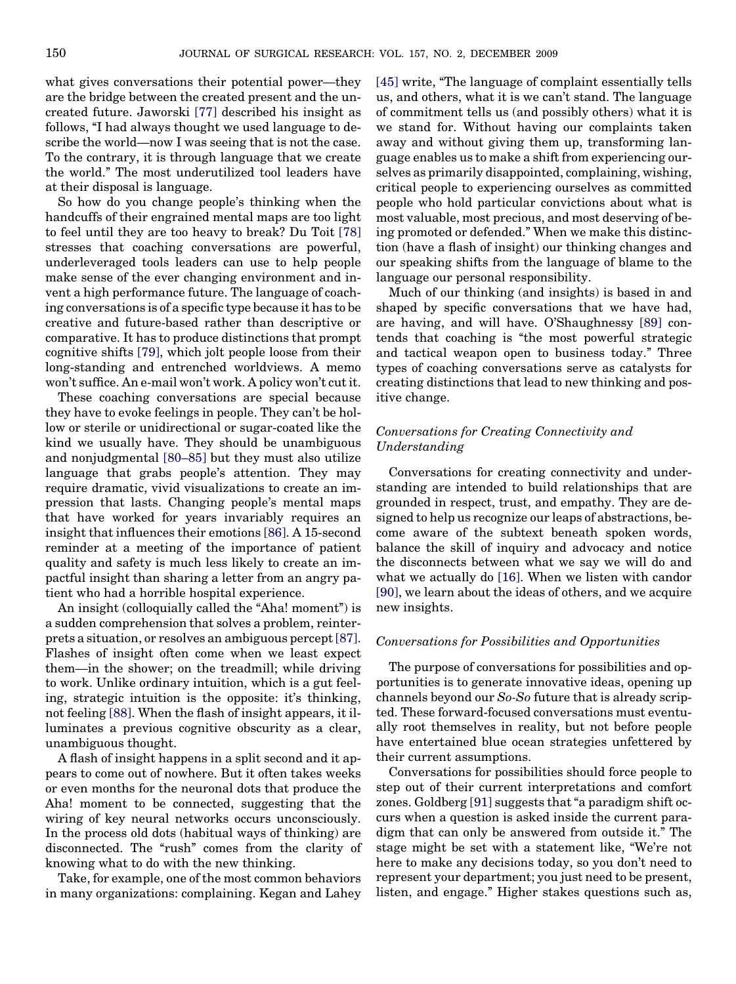what gives conversations their potential power—they are the bridge between the created present and the uncreated future. Jaworski [77] described his insight as follows, "I had always thought we used language to describe the world—now I was seeing that is not the case. To the contrary, it is through language that we create the world.'' The most underutilized tool leaders have at their disposal is language.

So how do you change people's thinking when the handcuffs of their engrained mental maps are too light to feel until they are too heavy to break? Du Toit [78] stresses that coaching conversations are powerful, underleveraged tools leaders can use to help people make sense of the ever changing environment and invent a high performance future. The language of coaching conversations is of a specific type because it has to be creative and future-based rather than descriptive or comparative. It has to produce distinctions that prompt cognitive shifts [79], which jolt people loose from their long-standing and entrenched worldviews. A memo won't suffice. An e-mail won't work. A policy won't cut it.

These coaching conversations are special because they have to evoke feelings in people. They can't be hollow or sterile or unidirectional or sugar-coated like the kind we usually have. They should be unambiguous and nonjudgmental [80–85] but they must also utilize language that grabs people's attention. They may require dramatic, vivid visualizations to create an impression that lasts. Changing people's mental maps that have worked for years invariably requires an insight that influences their emotions [86]. A 15-second reminder at a meeting of the importance of patient quality and safety is much less likely to create an impactful insight than sharing a letter from an angry patient who had a horrible hospital experience.

An insight (colloquially called the "Aha! moment") is a sudden comprehension that solves a problem, reinterprets a situation, or resolves an ambiguous percept[87]. Flashes of insight often come when we least expect them—in the shower; on the treadmill; while driving to work. Unlike ordinary intuition, which is a gut feeling, strategic intuition is the opposite: it's thinking, not feeling [88]. When the flash of insight appears, it illuminates a previous cognitive obscurity as a clear, unambiguous thought.

A flash of insight happens in a split second and it appears to come out of nowhere. But it often takes weeks or even months for the neuronal dots that produce the Aha! moment to be connected, suggesting that the wiring of key neural networks occurs unconsciously. In the process old dots (habitual ways of thinking) are disconnected. The "rush" comes from the clarity of knowing what to do with the new thinking.

Take, for example, one of the most common behaviors in many organizations: complaining. Kegan and Lahey

[45] write, "The language of complaint essentially tells us, and others, what it is we can't stand. The language of commitment tells us (and possibly others) what it is we stand for. Without having our complaints taken away and without giving them up, transforming language enables us to make a shift from experiencing ourselves as primarily disappointed, complaining, wishing, critical people to experiencing ourselves as committed people who hold particular convictions about what is most valuable, most precious, and most deserving of being promoted or defended.'' When we make this distinction (have a flash of insight) our thinking changes and our speaking shifts from the language of blame to the language our personal responsibility.

Much of our thinking (and insights) is based in and shaped by specific conversations that we have had, are having, and will have. O'Shaughnessy [89] contends that coaching is ''the most powerful strategic and tactical weapon open to business today.'' Three types of coaching conversations serve as catalysts for creating distinctions that lead to new thinking and positive change.

# Conversations for Creating Connectivity and Understanding

Conversations for creating connectivity and understanding are intended to build relationships that are grounded in respect, trust, and empathy. They are designed to help us recognize our leaps of abstractions, become aware of the subtext beneath spoken words, balance the skill of inquiry and advocacy and notice the disconnects between what we say we will do and what we actually do [16]. When we listen with candor [90], we learn about the ideas of others, and we acquire new insights.

## Conversations for Possibilities and Opportunities

The purpose of conversations for possibilities and opportunities is to generate innovative ideas, opening up channels beyond our So-So future that is already scripted. These forward-focused conversations must eventually root themselves in reality, but not before people have entertained blue ocean strategies unfettered by their current assumptions.

Conversations for possibilities should force people to step out of their current interpretations and comfort zones. Goldberg [91] suggests that "a paradigm shift occurs when a question is asked inside the current paradigm that can only be answered from outside it.'' The stage might be set with a statement like, ''We're not here to make any decisions today, so you don't need to represent your department; you just need to be present, listen, and engage.'' Higher stakes questions such as,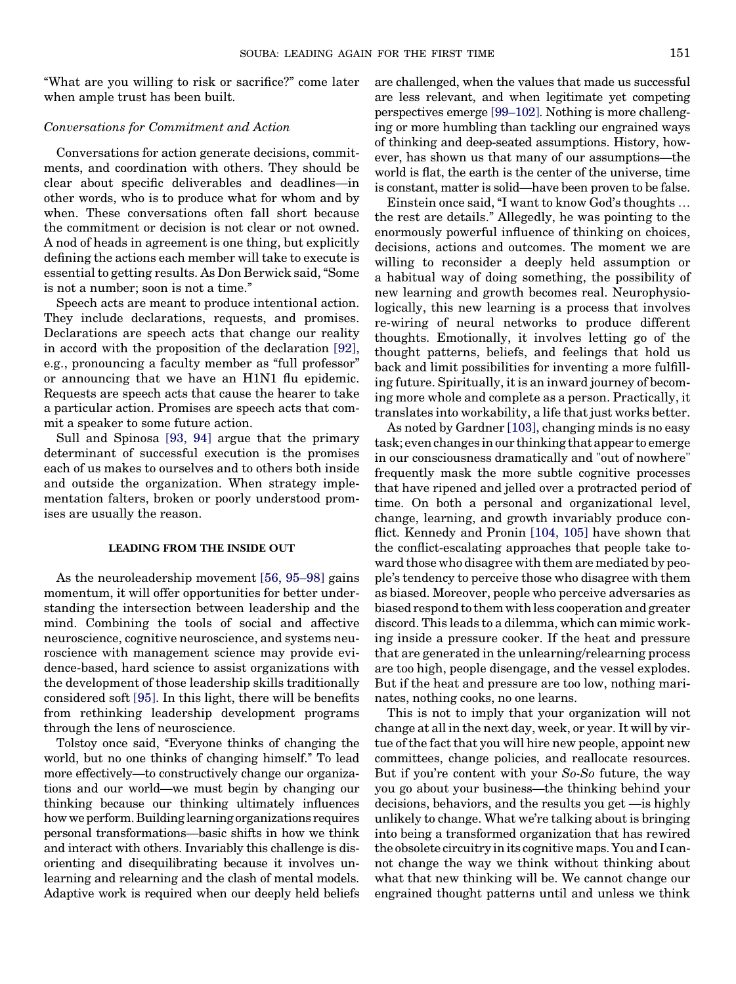''What are you willing to risk or sacrifice?'' come later when ample trust has been built.

### Conversations for Commitment and Action

Conversations for action generate decisions, commitments, and coordination with others. They should be clear about specific deliverables and deadlines—in other words, who is to produce what for whom and by when. These conversations often fall short because the commitment or decision is not clear or not owned. A nod of heads in agreement is one thing, but explicitly defining the actions each member will take to execute is essential to getting results. As Don Berwick said, ''Some is not a number; soon is not a time.''

Speech acts are meant to produce intentional action. They include declarations, requests, and promises. Declarations are speech acts that change our reality in accord with the proposition of the declaration [92], e.g., pronouncing a faculty member as "full professor" or announcing that we have an H1N1 flu epidemic. Requests are speech acts that cause the hearer to take a particular action. Promises are speech acts that commit a speaker to some future action.

Sull and Spinosa [93, 94] argue that the primary determinant of successful execution is the promises each of us makes to ourselves and to others both inside and outside the organization. When strategy implementation falters, broken or poorly understood promises are usually the reason.

### LEADING FROM THE INSIDE OUT

As the neuroleadership movement [56, 95–98] gains momentum, it will offer opportunities for better understanding the intersection between leadership and the mind. Combining the tools of social and affective neuroscience, cognitive neuroscience, and systems neuroscience with management science may provide evidence-based, hard science to assist organizations with the development of those leadership skills traditionally considered soft [95]. In this light, there will be benefits from rethinking leadership development programs through the lens of neuroscience.

Tolstoy once said, "Everyone thinks of changing the world, but no one thinks of changing himself.'' To lead more effectively—to constructively change our organizations and our world—we must begin by changing our thinking because our thinking ultimately influences howwe perform. Building learning organizations requires personal transformations—basic shifts in how we think and interact with others. Invariably this challenge is disorienting and disequilibrating because it involves unlearning and relearning and the clash of mental models. Adaptive work is required when our deeply held beliefs are challenged, when the values that made us successful are less relevant, and when legitimate yet competing perspectives emerge [99–102]. Nothing is more challenging or more humbling than tackling our engrained ways of thinking and deep-seated assumptions. History, however, has shown us that many of our assumptions—the world is flat, the earth is the center of the universe, time is constant, matter is solid—have been proven to be false.

Einstein once said, "I want to know God's thoughts ... the rest are details.'' Allegedly, he was pointing to the enormously powerful influence of thinking on choices, decisions, actions and outcomes. The moment we are willing to reconsider a deeply held assumption or a habitual way of doing something, the possibility of new learning and growth becomes real. Neurophysiologically, this new learning is a process that involves re-wiring of neural networks to produce different thoughts. Emotionally, it involves letting go of the thought patterns, beliefs, and feelings that hold us back and limit possibilities for inventing a more fulfilling future. Spiritually, it is an inward journey of becoming more whole and complete as a person. Practically, it translates into workability, a life that just works better.

As noted by Gardner [103], changing minds is no easy task; even changes in our thinking that appear to emerge in our consciousness dramatically and "out of nowhere" frequently mask the more subtle cognitive processes that have ripened and jelled over a protracted period of time. On both a personal and organizational level, change, learning, and growth invariably produce conflict. Kennedy and Pronin [104, 105] have shown that the conflict-escalating approaches that people take toward those who disagree with them are mediated by people's tendency to perceive those who disagree with them as biased. Moreover, people who perceive adversaries as biased respond to them with less cooperation and greater discord. This leads to a dilemma, which can mimic working inside a pressure cooker. If the heat and pressure that are generated in the unlearning/relearning process are too high, people disengage, and the vessel explodes. But if the heat and pressure are too low, nothing marinates, nothing cooks, no one learns.

This is not to imply that your organization will not change at all in the next day, week, or year. It will by virtue of the fact that you will hire new people, appoint new committees, change policies, and reallocate resources. But if you're content with your So-So future, the way you go about your business—the thinking behind your decisions, behaviors, and the results you get —is highly unlikely to change. What we're talking about is bringing into being a transformed organization that has rewired the obsolete circuitry in its cognitive maps. You and I cannot change the way we think without thinking about what that new thinking will be. We cannot change our engrained thought patterns until and unless we think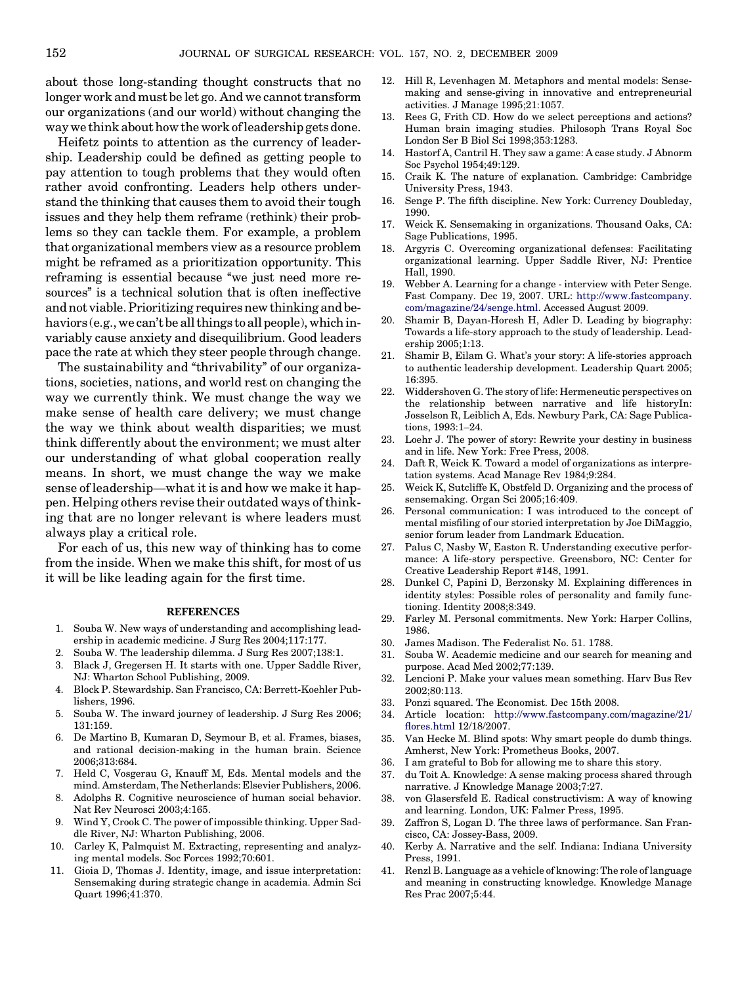about those long-standing thought constructs that no longer work and must be let go. And we cannot transform our organizations (and our world) without changing the way we think about how the work of leadership gets done.

Heifetz points to attention as the currency of leadership. Leadership could be defined as getting people to pay attention to tough problems that they would often rather avoid confronting. Leaders help others understand the thinking that causes them to avoid their tough issues and they help them reframe (rethink) their problems so they can tackle them. For example, a problem that organizational members view as a resource problem might be reframed as a prioritization opportunity. This reframing is essential because "we just need more resources" is a technical solution that is often ineffective and not viable.Prioritizing requires new thinking and behaviors (e.g., we can't be all things to all people), which invariably cause anxiety and disequilibrium. Good leaders pace the rate at which they steer people through change.

The sustainability and "thrivability" of our organizations, societies, nations, and world rest on changing the way we currently think. We must change the way we make sense of health care delivery; we must change the way we think about wealth disparities; we must think differently about the environment; we must alter our understanding of what global cooperation really means. In short, we must change the way we make sense of leadership—what it is and how we make it happen. Helping others revise their outdated ways of thinking that are no longer relevant is where leaders must always play a critical role.

For each of us, this new way of thinking has to come from the inside. When we make this shift, for most of us it will be like leading again for the first time.

### REFERENCES

- 1. Souba W. New ways of understanding and accomplishing leadership in academic medicine. J Surg Res 2004;117:177.
- 2. Souba W. The leadership dilemma. J Surg Res 2007;138:1.
- 3. Black J, Gregersen H. It starts with one. Upper Saddle River, NJ: Wharton School Publishing, 2009.
- 4. Block P. Stewardship. San Francisco, CA: Berrett-Koehler Publishers, 1996.
- 5. Souba W. The inward journey of leadership. J Surg Res 2006; 131:159.
- 6. De Martino B, Kumaran D, Seymour B, et al. Frames, biases, and rational decision-making in the human brain. Science 2006;313:684.
- 7. Held C, Vosgerau G, Knauff M, Eds. Mental models and the mind. Amsterdam, The Netherlands: Elsevier Publishers, 2006.
- 8. Adolphs R. Cognitive neuroscience of human social behavior. Nat Rev Neurosci 2003;4:165.
- 9. Wind Y, Crook C. The power of impossible thinking. Upper Saddle River, NJ: Wharton Publishing, 2006.
- 10. Carley K, Palmquist M. Extracting, representing and analyzing mental models. Soc Forces 1992;70:601.
- 11. Gioia D, Thomas J. Identity, image, and issue interpretation: Sensemaking during strategic change in academia. Admin Sci Quart 1996;41:370.
- 12. Hill R, Levenhagen M. Metaphors and mental models: Sensemaking and sense-giving in innovative and entrepreneurial activities. J Manage 1995;21:1057.
- 13. Rees G, Frith CD. How do we select perceptions and actions? Human brain imaging studies. Philosoph Trans Royal Soc London Ser B Biol Sci 1998;353:1283.
- 14. Hastorf A, Cantril H. They saw a game: A case study. J Abnorm Soc Psychol 1954;49:129.
- 15. Craik K. The nature of explanation. Cambridge: Cambridge University Press, 1943.
- 16. Senge P. The fifth discipline. New York: Currency Doubleday, 1990.
- 17. Weick K. Sensemaking in organizations. Thousand Oaks, CA: Sage Publications, 1995.
- 18. Argyris C. Overcoming organizational defenses: Facilitating organizational learning. Upper Saddle River, NJ: Prentice Hall, 1990.
- 19. Webber A. Learning for a change interview with Peter Senge. Fast Company. Dec 19, 2007. URL: [http://www.fastcompany.](http://www.fastcompany.com/magazine/24/senge.html) [com/magazine/24/senge.html.](http://www.fastcompany.com/magazine/24/senge.html) Accessed August 2009.
- 20. Shamir B, Dayan-Horesh H, Adler D. Leading by biography: Towards a life-story approach to the study of leadership. Leadership 2005;1:13.
- 21. Shamir B, Eilam G. What's your story: A life-stories approach to authentic leadership development. Leadership Quart 2005; 16:395.
- 22. Widdershoven G. The story of life: Hermeneutic perspectives on the relationship between narrative and life historyIn: Josselson R, Leiblich A, Eds. Newbury Park, CA: Sage Publications, 1993:1–24.
- 23. Loehr J. The power of story: Rewrite your destiny in business and in life. New York: Free Press, 2008.
- 24. Daft R, Weick K. Toward a model of organizations as interpretation systems. Acad Manage Rev 1984;9:284.
- 25. Weick K, Sutcliffe K, Obstfeld D. Organizing and the process of sensemaking. Organ Sci 2005;16:409.
- 26. Personal communication: I was introduced to the concept of mental misfiling of our storied interpretation by Joe DiMaggio, senior forum leader from Landmark Education.
- 27. Palus C, Nasby W, Easton R. Understanding executive performance: A life-story perspective. Greensboro, NC: Center for Creative Leadership Report #148, 1991.
- 28. Dunkel C, Papini D, Berzonsky M. Explaining differences in identity styles: Possible roles of personality and family functioning. Identity 2008;8:349.
- 29. Farley M. Personal commitments. New York: Harper Collins, 1986.
- 30. James Madison. The Federalist No. 51. 1788.
- 31. Souba W. Academic medicine and our search for meaning and purpose. Acad Med 2002;77:139.
- 32. Lencioni P. Make your values mean something. Harv Bus Rev 2002;80:113.
- 33. Ponzi squared. The Economist. Dec 15th 2008.
- 34. Article location: [http://www.fastcompany.com/magazine/21/](http://www.fastcompany.com/magazine/21/flores.html) [flores.html](http://www.fastcompany.com/magazine/21/flores.html) 12/18/2007.
- 35. Van Hecke M. Blind spots: Why smart people do dumb things. Amherst, New York: Prometheus Books, 2007.
- 36. I am grateful to Bob for allowing me to share this story.
- 37. du Toit A. Knowledge: A sense making process shared through narrative. J Knowledge Manage 2003;7:27.
- 38. von Glasersfeld E. Radical constructivism: A way of knowing and learning. London, UK: Falmer Press, 1995.
- 39. Zaffron S, Logan D. The three laws of performance. San Francisco, CA: Jossey-Bass, 2009.
- 40. Kerby A. Narrative and the self. Indiana: Indiana University Press, 1991.
- 41. Renzl B. Language as a vehicle of knowing: The role of language and meaning in constructing knowledge. Knowledge Manage Res Prac 2007;5:44.